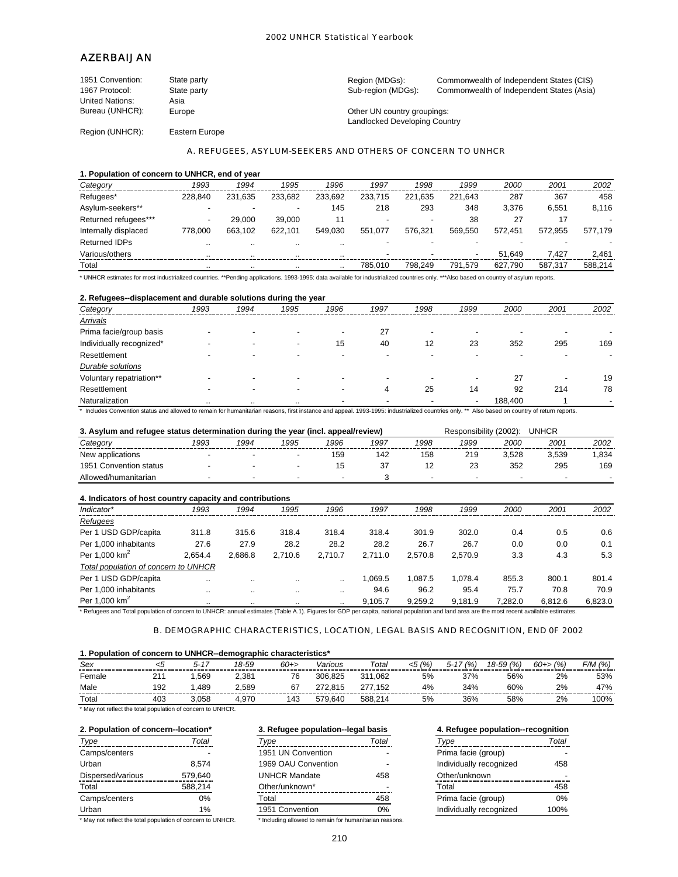# AZERBAIJAN

| 1951 Convention:       | State party | Region (MDGs):                | Commonwealth of Independent States (CIS)  |
|------------------------|-------------|-------------------------------|-------------------------------------------|
| 1967 Protocol:         | State party | Sub-region (MDGs):            | Commonwealth of Independent States (Asia) |
| <b>United Nations:</b> | Asia        |                               |                                           |
| Bureau (UNHCR):        | Europe      | Other UN country groupings:   |                                           |
|                        |             | Landlocked Developing Country |                                           |

Region (UNHCR): Eastern Europe

### A. REFUGEES, ASYLUM-SEEKERS AND OTHERS OF CONCERN TO UNHCR

### **1. Population of concern to UNHCR, end of year**

| Category             | 1993    | 1994                     | 1995                     | 1996                 | 1997    | 1998    | 1999    | 2000    | 2001    | 2002    |
|----------------------|---------|--------------------------|--------------------------|----------------------|---------|---------|---------|---------|---------|---------|
| Refugees*            | 228.840 | 231.635                  | 233.682                  | 233.692              | 233.715 | 221.635 | 221.643 | 287     | 367     | 458     |
| Asylum-seekers**     |         | $\overline{\phantom{0}}$ | $\overline{\phantom{a}}$ | 145                  | 218     | 293     | 348     | 3.376   | 6.551   | 8.116   |
| Returned refugees*** |         | 29.000                   | 39.000                   | 11                   |         |         | 38      | 27      | 17      |         |
| Internally displaced | 778.000 | 663.102                  | 622.101                  | 549.030              | 551.077 | 576.321 | 569.550 | 572.451 | 572.955 | 577.179 |
| <b>Returned IDPs</b> |         |                          | $\cdot$ .                | $\ddot{\phantom{0}}$ |         |         |         |         |         |         |
| Various/others       |         |                          | $\cdot$ .                | $\ddot{\phantom{0}}$ | -       |         |         | 51.649  | 7.427   | 2.461   |
| Total                |         | $\cdot$ .                | $\cdot$ .                | $\cdot$ .            | 785.010 | 798.249 | 791.579 | 627.790 | 587.317 | 588.214 |

\* UNHCR estimates for most industrialized countries. \*\*Pending applications. 1993-1995: data available for industrialized countries only. \*\*\*Also based on country of asylum reports.

### **2. Refugees--displacement and durable solutions during the year**

| . .<br>Category          | 1993 | 1994                     | . .<br>1995              | 1996                     | 1997 | 1998 | 1999                     | 2000    | 2001 | 2002 |
|--------------------------|------|--------------------------|--------------------------|--------------------------|------|------|--------------------------|---------|------|------|
| Arrivals                 |      |                          |                          |                          |      |      |                          |         |      |      |
| Prima facie/group basis  |      |                          |                          | $\overline{\phantom{0}}$ | 27   |      |                          |         |      |      |
| Individually recognized* |      |                          | $\overline{\phantom{a}}$ | 15                       | 40   | 12   | 23                       | 352     | 295  | 169  |
| Resettlement             |      | $\overline{\phantom{a}}$ |                          |                          |      |      |                          |         |      |      |
| <b>Durable solutions</b> |      |                          |                          |                          |      |      |                          |         |      |      |
| Voluntary repatriation** |      |                          |                          |                          |      |      | $\overline{\phantom{a}}$ | 27      |      | 19   |
| Resettlement             |      | $\overline{\phantom{a}}$ |                          |                          | 4    | 25   | 14                       | 92      | 214  | 78   |
| Naturalization           |      | $\cdots$                 | $\cdot$                  | $\overline{\phantom{a}}$ |      |      | $\overline{\phantom{a}}$ | 188,400 |      |      |

\* Includes Convention status and allowed to remain for humanitarian reasons, first instance and appeal. 1993-1995: industrialized countries only. \*\* Also based on country of return reports.

#### **3. Asylum and refugee status determination during the year (incl. appeal/review)** Responsibility (2002): UNHCR *Category 1993 1994 1995 1996 1997 1998 1999 2000 2001 2002* - - - 159 142 158 219 3,528 3,539 1,834 - - - 15 37 12 23 352 295 169 Allowed/humanitarian - - - - - - - - - 3 New applications 1951 Convention status

# **4. Indicators of host country capacity and contributions** *Indicator\* 1993 1994 1995 1996 1997 1998 1999 2000 2001 2002 Refugees* Per 1 USD GDP/capita 311.8 315.6 318.4 318.4 318.4 301.9 302.0 0.4 0.5 0.6 Per 1,000 inhabitants 27.6 27.9 28.2 28.2 28.2 26.7 26.7 0.0 0.0 0.1 Per 1,000 km<sup>2</sup> 2,654.4 2,686.8 2,710.6 2,710.7 2,711.0 2,570.8 2,570.9 3.3 4.3 5.3 *Total population of concern to UNHCR* Per 1 USD GDP/capita ... ... ... ... ... 1,069.5 1,087.5 1,078.4 855.3 800.1 801.4 Per 1,000 inhabitants .. .. .. .. 94.6 96.2 95.4 75.7 70.8 70.9 Per 1,000 km2 .. .. .. .. 9,105.7 9,259.2 9,181.9 7,282.0 6,812.6 6,823.0

\* Refugees and Total population of concern to UNHCR: annual estimates (Table A.1). Figures for GDP per capita, national population and land area are the most recent available estimates.

# B. DEMOGRAPHIC CHARACTERISTICS, LOCATION, LEGAL BASIS AND RECOGNITION, END 0F 2002

### **1. Population of concern to UNHCR--demographic characteristics\***

| Sex    |                 |       | 18-59 | 60+> | /arious | Total       | (% | $5 - 17$<br>(% , | $18 - 59$<br>(% | $60+$<br>(% | $5/M$ .<br>(% |
|--------|-----------------|-------|-------|------|---------|-------------|----|------------------|-----------------|-------------|---------------|
| Female | 21 <sup>1</sup> | .569  | 2,381 | 76   | 306.825 | .062<br>311 | 5% | 37%              | 56%             | 2%          | 53%           |
| Male   | 192             | .489  | 2.589 |      | 72.815  | 152         | 4% | 34%              | 60%             | 2%          | 47%           |
| Total  | 403             | 058.، | 1.970 | 143  | 579.640 | 588.214     | 5% | 36%              | 58%             | 2%          | $100\%$       |

\* May not reflect the total population of concern to UNHCR.

| 2. Population of concern--location*                                                      |         | 3. Refugee population-legal basis |       | 4. Refugee population--recognition |       |  |
|------------------------------------------------------------------------------------------|---------|-----------------------------------|-------|------------------------------------|-------|--|
| Total<br>Type                                                                            |         | Type                              | Total | Type                               | Total |  |
| Camps/centers                                                                            |         | 1951 UN Convention                |       | Prima facie (group)                |       |  |
| Urban                                                                                    | 8.574   | 1969 OAU Convention               |       | Individually recognized            | 458   |  |
| Dispersed/various                                                                        | 579.640 | <b>UNHCR Mandate</b>              | 458   | Other/unknown                      |       |  |
| Total                                                                                    | 588.214 | Other/unknown*                    |       | Total                              | 458   |  |
| Camps/centers                                                                            | 0%      | Total                             | 458   | Prima facie (group)                | 0%    |  |
| Urban                                                                                    | 1%      | 0%<br>1951 Convention             |       | Individually recognized            | 100%  |  |
| $\mathbf{u}$ , and $\mathbf{u}$ , and $\mathbf{u}$ , and $\mathbf{u}$ , and $\mathbf{u}$ |         |                                   |       |                                    |       |  |

May not reflect the total population of concern to UNHCR. The Including allowed to remain for humanitarian reasons.

# **3. Refugee population--legal basis** *Type Total Type Total Type Total*

| 1951 UN Convention   |     |
|----------------------|-----|
| 1969 OAU Convention  |     |
| <b>UNHCR Mandate</b> | 458 |
| Other/unknown*       |     |
| Total                | 458 |
| 1951 Convention      | ሰ%  |
| .<br>.               |     |

| 4. Refugee population--recognition |       |  |  |  |  |  |  |  |
|------------------------------------|-------|--|--|--|--|--|--|--|
| Type                               | Total |  |  |  |  |  |  |  |
| Prima facie (group)                |       |  |  |  |  |  |  |  |
| Individually recognized            | 458   |  |  |  |  |  |  |  |
| Other/unknown                      |       |  |  |  |  |  |  |  |
| Total                              | 458   |  |  |  |  |  |  |  |
| Prima facie (group)                | ሰ%    |  |  |  |  |  |  |  |
| Individually recognized            | 100%  |  |  |  |  |  |  |  |